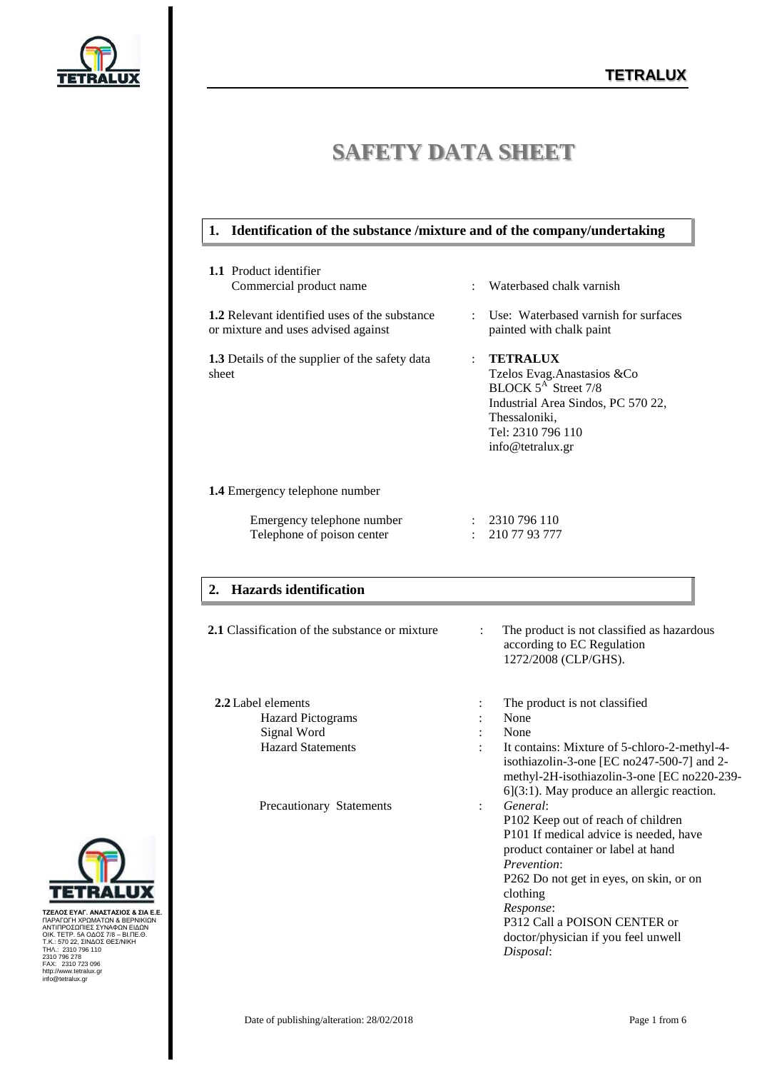

# **SAFETY DATA SHEET**

#### **1. Identification of the substance /mixture and of the company/undertaking**

| <b>1.1</b> Product identifier<br>Commercial product name                                    | Waterbased chalk varnish<br>٠                                                                                                                                                         |
|---------------------------------------------------------------------------------------------|---------------------------------------------------------------------------------------------------------------------------------------------------------------------------------------|
| <b>1.2</b> Relevant identified uses of the substance<br>or mixture and uses advised against | Use: Waterbased varnish for surfaces<br>٠<br>painted with chalk paint                                                                                                                 |
| <b>1.3</b> Details of the supplier of the safety data<br>sheet                              | <b>TETRALUX</b><br>÷<br>Tzelos Evag.Anastasios &Co<br>BLOCK 5 <sup>A</sup> Street 7/8<br>Industrial Area Sindos, PC 570 22,<br>Thessaloniki,<br>Tel: 2310 796 110<br>info@tetralux.gr |
| <b>1.4</b> Emergency telephone number                                                       |                                                                                                                                                                                       |
| Emergency telephone number<br>Telephone of poison center                                    | 2310 796 110<br>210 77 93 777                                                                                                                                                         |
| 2. Hazards identification                                                                   |                                                                                                                                                                                       |
| 2.1 Classification of the substance or mixture                                              | The product is not classified as hazardous<br>according to EC Regulation<br>1272/2008 (CLP/GHS).                                                                                      |

| 2.2 Label elements       |                      | The product is not classified.                                                                                                                                                             |
|--------------------------|----------------------|--------------------------------------------------------------------------------------------------------------------------------------------------------------------------------------------|
| <b>Hazard Pictograms</b> |                      | None                                                                                                                                                                                       |
| Signal Word              |                      | None                                                                                                                                                                                       |
| <b>Hazard Statements</b> |                      | It contains: Mixture of 5-chloro-2-methyl-4-<br>isothiazolin-3-one [EC no247-500-7] and 2-<br>methyl-2H-isothiazolin-3-one [EC no220-239-<br>$6$ ](3:1). May produce an allergic reaction. |
| Precautionary Statements | $\ddot{\phantom{a}}$ | General:<br>P <sub>102</sub> Keep out of reach of children<br>P101 If medical advice is needed, have                                                                                       |



ΤΖΕΛΟΣ ΕΥΑΓ. ΑΝΑΣΤΑΣΙΟΣ & ΣΙΑ Ε.ΕΛΟΣ<br>ΠΑΡΑΓΩΓΗ ΧΡΩΜΑΤΩΝ & ΒΕΡΝΙΚΙΩΝ<br>ΑΝΤΙΠΡΟΣΩΠΙΕΣ ΣΥΝΑΦΩΝ ΕΙΔΩΝ<br>ΟΙΚ. ΤΕΤΡ. 5Α ΟΔΟΣ 78 – ΒΙ.ΠΕ.Θ.<br>Τ.Κ.: 570 22, ΣΙΝΔΟΣ ΘΕΣ/ΝΙΚΗ<br>2310 796 170<br>ΑΑΧ.: 2310 723 096<br>ΗΑΧ.: 2310 723 096<br>hiro@tetralu

product container or label at hand

P312 Call a POISON CENTER or doctor/physician if you feel unwell

P262 Do not get in eyes, on skin, or on

*Prevention*:

clothing *Response*:

*Disposal*: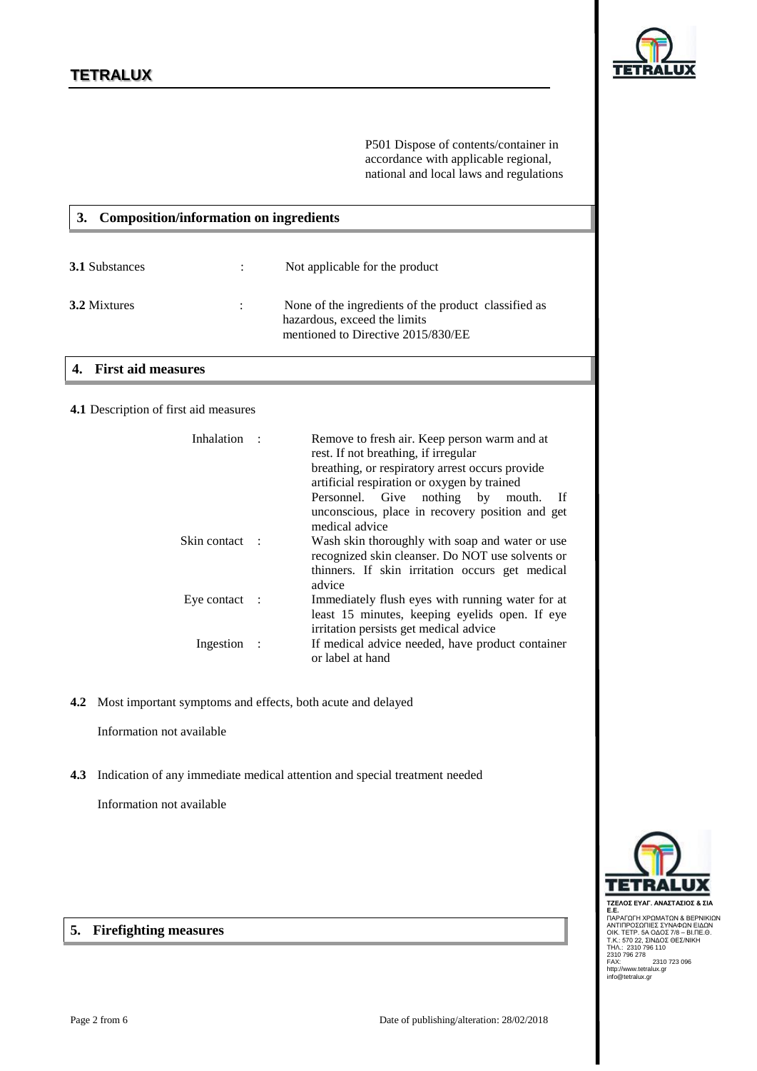

P501 Dispose of contents/container in accordance with applicable regional, national and local laws and regulations

| <b>Composition/information on ingredients</b> |  |                                                                                                                            |  |
|-----------------------------------------------|--|----------------------------------------------------------------------------------------------------------------------------|--|
| <b>3.1 Substances</b>                         |  | Not applicable for the product                                                                                             |  |
| 3.2 Mixtures                                  |  | None of the ingredients of the product classified as<br>hazardous, exceed the limits<br>mentioned to Directive 2015/830/EE |  |

### **4. First aid measures**

#### **4.1** Description of first aid measures

| Inhalation               | Remove to fresh air. Keep person warm and at<br>rest. If not breathing, if irregular<br>breathing, or respiratory arrest occurs provide<br>artificial respiration or oxygen by trained<br>Personnel. Give nothing by<br>- If<br>mouth.<br>unconscious, place in recovery position and get<br>medical advice |
|--------------------------|-------------------------------------------------------------------------------------------------------------------------------------------------------------------------------------------------------------------------------------------------------------------------------------------------------------|
| Skin contact :           | Wash skin thoroughly with soap and water or use<br>recognized skin cleanser. Do NOT use solvents or<br>thinners. If skin irritation occurs get medical<br>advice                                                                                                                                            |
| Eye contact $\therefore$ | Immediately flush eyes with running water for at<br>least 15 minutes, keeping eyelids open. If eye<br>irritation persists get medical advice                                                                                                                                                                |
| Ingestion                | If medical advice needed, have product container<br>or label at hand                                                                                                                                                                                                                                        |

**4.2** Most important symptoms and effects, both acute and delayed

Information not available

**4.3** Indication of any immediate medical attention and special treatment needed

Information not available

**5. Firefighting measures**



**ΤΖΕΛΟΣ ΕΥΑΓ. ΑΝΑΣΤΑΣΙΟΣ & ΣΙΑ<br>Ε.Ε.**<br>Ε.Ε.<br>ΑΝΤΙΠΡΟΣΩΠΙΕΣ ΣΥΝΑΦΩΝ ΕΙΔΩΝ<br>ΑΝΤΙΠΡΟΣΩΠΙΕΣ ΣΥΝΑΦΩΝ ΕΙΔΩΝ<br>ΟΙΚ. ΤΕΤΡ. 5Α ΟΔΟΣ 7/8 - ΒΙ.ΠΕ.Θ.<br>Ζ310 796 278<br>ΤΗΛ.: 2310 796 110<br>FAX: 2310 796 110<br>http://www.tetralux.gr<br>http://www.tetra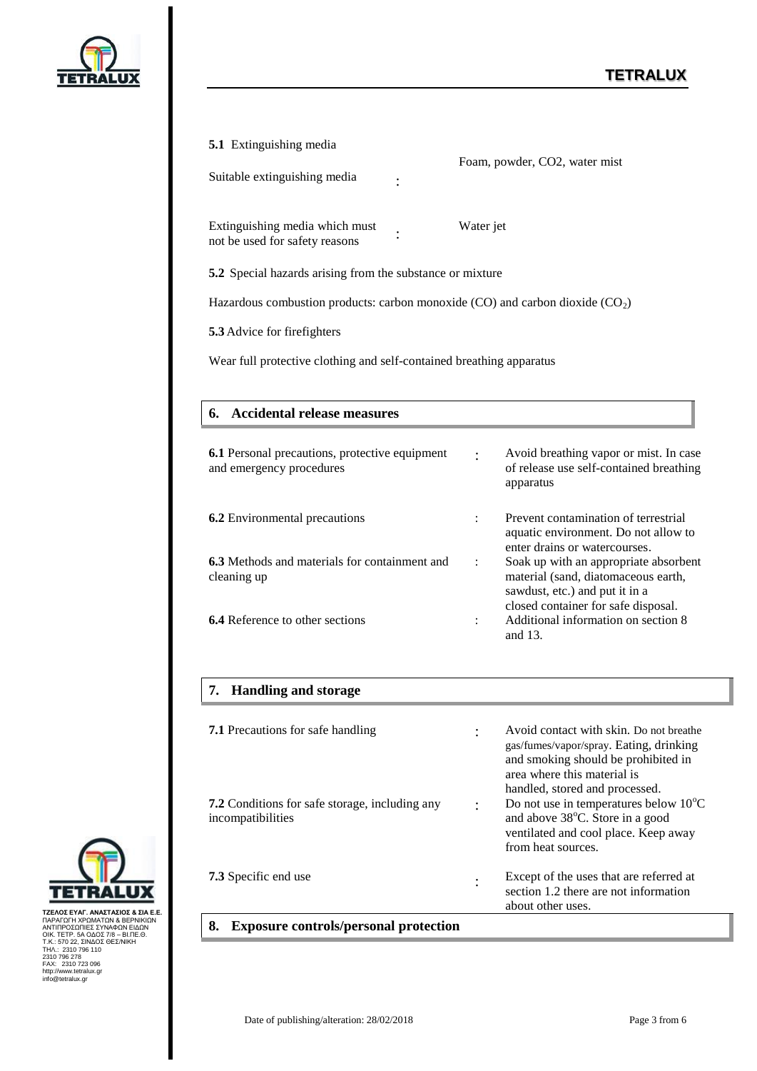

| <b>5.1</b> Extinguishing media<br>Suitable extinguishing media                    | Foam, powder, CO2, water mist                                                                                                    |  |  |
|-----------------------------------------------------------------------------------|----------------------------------------------------------------------------------------------------------------------------------|--|--|
| Extinguishing media which must<br>not be used for safety reasons                  | Water jet                                                                                                                        |  |  |
| 5.2 Special hazards arising from the substance or mixture                         |                                                                                                                                  |  |  |
| Hazardous combustion products: carbon monoxide (CO) and carbon dioxide ( $CO2$ )  |                                                                                                                                  |  |  |
| 5.3 Advice for firefighters                                                       |                                                                                                                                  |  |  |
| Wear full protective clothing and self-contained breathing apparatus              |                                                                                                                                  |  |  |
|                                                                                   |                                                                                                                                  |  |  |
| 6. Accidental release measures                                                    |                                                                                                                                  |  |  |
| <b>6.1</b> Personal precautions, protective equipment<br>and emergency procedures | Avoid breathing vapor or mist. In case<br>of release use self-contained breathing<br>apparatus                                   |  |  |
| 6.2 Environmental precautions                                                     | Prevent contamination of terrestrial<br>$\ddot{\cdot}$<br>aquatic environment. Do not allow to<br>enter drains or watercourses.  |  |  |
| 6.3 Methods and materials for containment and<br>cleaning up                      | Soak up with an appropriate absorbent<br>$\ddot{\cdot}$<br>material (sand, diatomaceous earth,<br>sawdust, etc.) and put it in a |  |  |
| <b>6.4</b> Reference to other sections                                            | closed container for safe disposal.<br>Additional information on section 8<br>$\ddot{\cdot}$<br>and 13.                          |  |  |
| 7. Handling and storage                                                           |                                                                                                                                  |  |  |
| <b>7.1</b> Precautions for safe handling                                          | Avoid contact with skin. Do not breathe<br>gas/fumes/vapor/spray. Eating, drinking<br>and smoking should be prohibited in        |  |  |



ΤΖΕΛΟΣ ΕΥΑΓ. ΑΝΑΣΤΑΣΙΟΣ & ΣΙΑ Ε.ΕΛΟΣ<br>ΠΑΡΑΓΩΓΗ ΧΡΩΜΑΤΩΝ & ΒΕΡΝΙΚΙΩΝ<br>ΑΝΤΙΠΡΟΣΩΠΙΕΣ ΣΥΝΑΦΩΝ ΕΙΔΩΝ<br>ΟΙΚ. ΤΕΤΡ. 5Α ΟΔΟΣ 78 – ΒΙ.ΠΕ.Θ.<br>Τ.Κ.: 570 22, ΣΙΝΔΟΣ ΘΕΣ/ΝΙΚΗ<br>2310 796 170<br>ΑΑΧ.: 2310 723 096<br>ΗΑΧ.: 2310 723 096<br>hiro@tetralu

**7.2** Conditions for safe storage, including any

**7.3** Specific end use :

**8. Exposure controls/personal protection**

incompatibilities

area where this material is handled, stored and processed.

from heat sources.

about other uses.

: Do not use in temperatures below  $10^{\circ}$ C and above 38°C. Store in a good ventilated and cool place. Keep away

> Except of the uses that are referred at section 1.2 there are not information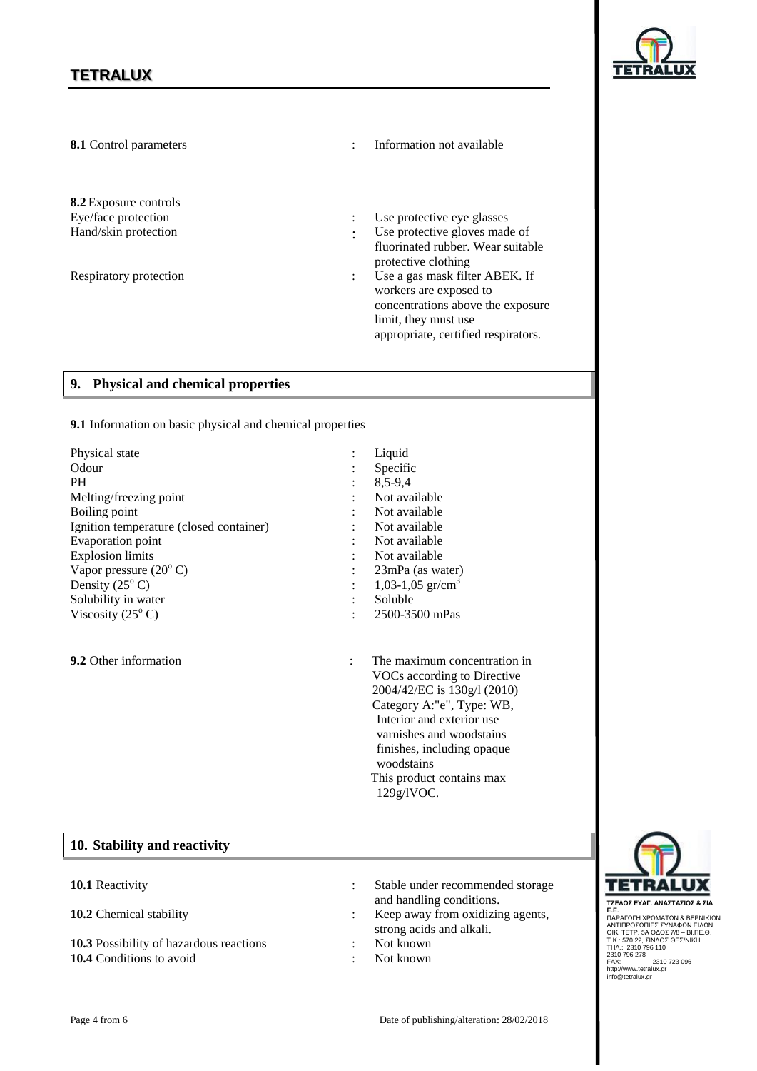

| 8.1 Control parameters                                                                         |                                             | Information not available                                                                                                                                                                                                                                                               |
|------------------------------------------------------------------------------------------------|---------------------------------------------|-----------------------------------------------------------------------------------------------------------------------------------------------------------------------------------------------------------------------------------------------------------------------------------------|
| 8.2 Exposure controls<br>Eye/face protection<br>Hand/skin protection<br>Respiratory protection | $\ddot{\cdot}$<br>$\cdot$<br>$\ddot{\cdot}$ | Use protective eye glasses<br>Use protective gloves made of<br>fluorinated rubber. Wear suitable<br>protective clothing<br>Use a gas mask filter ABEK. If<br>workers are exposed to<br>concentrations above the exposure<br>limit, they must use<br>appropriate, certified respirators. |
| 9. Physical and chemical properties                                                            |                                             |                                                                                                                                                                                                                                                                                         |
| 9.1 Information on basic physical and chemical properties                                      |                                             |                                                                                                                                                                                                                                                                                         |
| Physical state                                                                                 |                                             | Liquid                                                                                                                                                                                                                                                                                  |
| Odour                                                                                          |                                             | Specific                                                                                                                                                                                                                                                                                |
| PH.                                                                                            |                                             | 8,5-9,4                                                                                                                                                                                                                                                                                 |
| Melting/freezing point                                                                         |                                             | Not available                                                                                                                                                                                                                                                                           |
| Boiling point                                                                                  |                                             | Not available                                                                                                                                                                                                                                                                           |
| Ignition temperature (closed container)                                                        |                                             | Not available                                                                                                                                                                                                                                                                           |
| Evaporation point                                                                              |                                             | Not available                                                                                                                                                                                                                                                                           |
| <b>Explosion limits</b>                                                                        |                                             | Not available                                                                                                                                                                                                                                                                           |
| Vapor pressure $(20^{\circ} \text{ C})$                                                        |                                             | 23mPa (as water)                                                                                                                                                                                                                                                                        |
| Density $(25^{\circ} C)$                                                                       |                                             | 1,03-1,05 gr/cm <sup>3</sup>                                                                                                                                                                                                                                                            |
| Solubility in water                                                                            |                                             | Soluble                                                                                                                                                                                                                                                                                 |
| Viscosity $(25^{\circ} C)$                                                                     |                                             | 2500-3500 mPas                                                                                                                                                                                                                                                                          |
| 9.2 Other information                                                                          | $\ddot{\cdot}$                              | The maximum concentration in<br>VOCs according to Directive<br>2004/42/EC is 130g/l (2010)                                                                                                                                                                                              |

## **10. Stability and reactivity**

| <b>10.1</b> Reactivity                  | Stable under recommended storage<br>and handling conditions. |
|-----------------------------------------|--------------------------------------------------------------|
| <b>10.2</b> Chemical stability          | Keep away from oxidizing agents,<br>strong acids and alkali. |
| 10.3 Possibility of hazardous reactions | Not known                                                    |
| <b>10.4</b> Conditions to avoid         | Not known                                                    |

Category A:"e", Type: WB,



**ΤΖΕΛΟΣ ΕΥΑΓ. ΑΝΑΣΤΑΣΙΟΣ & ΣΙΑ<br>Ε.Ε.**<br>Ε.Ε.<br>ΑΝΤΙΠΡΟΣΩΠΙΕΣ ΣΥΝΑΦΩΝ ΕΙΔΩΝ<br>ΑΝΤΙΠΡΟΣΩΠΙΕΣ ΣΥΝΑΦΩΝ ΕΙΔΩΝ<br>ΟΙΚ. ΤΕΤΡ. 5Α ΟΔΟΣ 7/8 - ΒΙ.ΠΕ.Θ.<br>Ζ310 796 278<br>ΤΗΛ.: 2310 796 110<br>FAX: 2310 796 110<br>http://www.tetralux.gr<br>http://www.tetra

Interior and exterior use varnishes and woodstains finishes, including opaque

This product contains max

woodstains

129g/lVOC.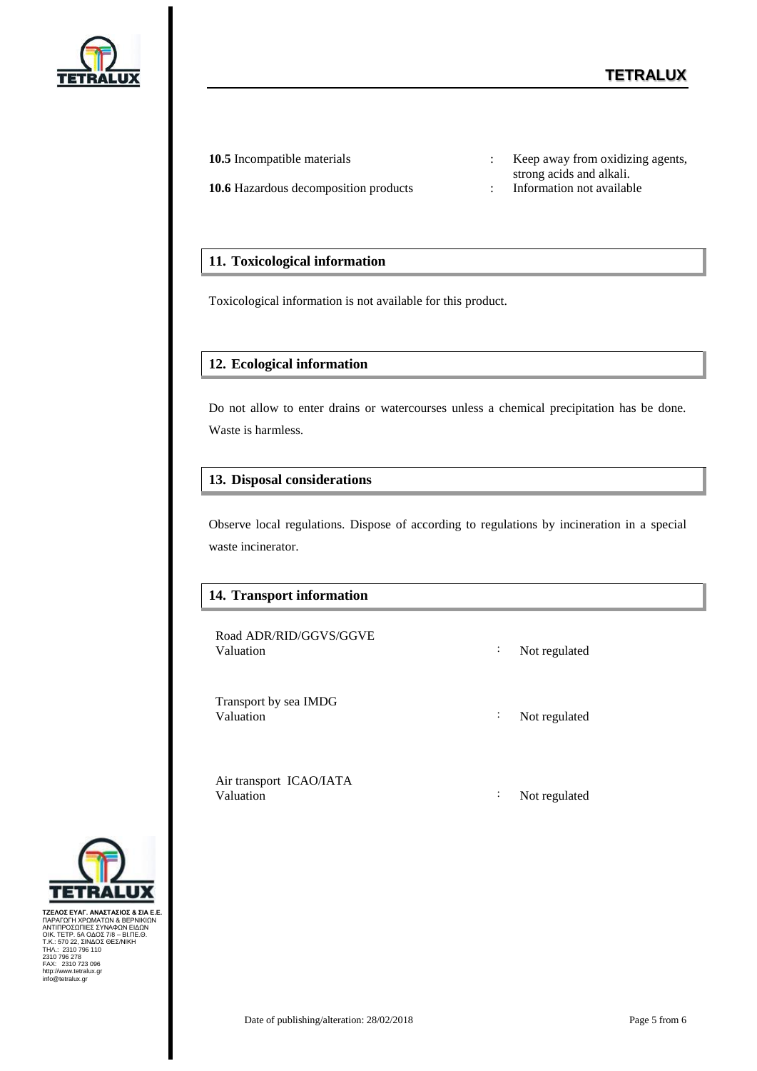

- **10.6** Hazardous decomposition products : Information not available
- **10.5** Incompatible materials : Keep away from oxidizing agents, strong acids and alkali.
	-

#### **11. Toxicological information**

Toxicological information is not available for this product.

#### **12. Ecological information**

Do not allow to enter drains or watercourses unless a chemical precipitation has be done. Waste is harmless.

#### **13. Disposal considerations**

Observe local regulations. Dispose of according to regulations by incineration in a special waste incinerator.

#### **14. Transport information**

Road ADR/RID/GGVS/GGVE Valuation : Not regulated

Transport by sea IMDG

Valuation : Not regulated

Air transport ICAO/IATA Valuation : Not regulated



ΤΖΕΛΟΣ ΕΥΑΓ. ΑΝΑΣΤΑΣΙΟΣ & ΣΙΑ Ε.ΕΛΟΣ<br>ΠΑΡΑΓΩΓΗ ΧΡΩΜΑΤΩΝ & ΒΕΡΝΙΚΙΩΝ<br>ΑΝΤΙΠΡΟΣΩΠΙΕΣ ΣΥΝΑΦΩΝ ΕΙΔΩΝ<br>ΟΙΚ. ΤΕΤΡ. 5Α ΟΔΟΣ 78 – ΒΙ.ΠΕ.Θ.<br>Τ.Κ.: 570 22, ΣΙΝΔΟΣ ΘΕΣ/ΝΙΚΗ<br>2310 796 170<br>ΑΑΧ.: 2310 723 096<br>ΗΑΧ.: 2310 723 096<br>hiro@tetralu